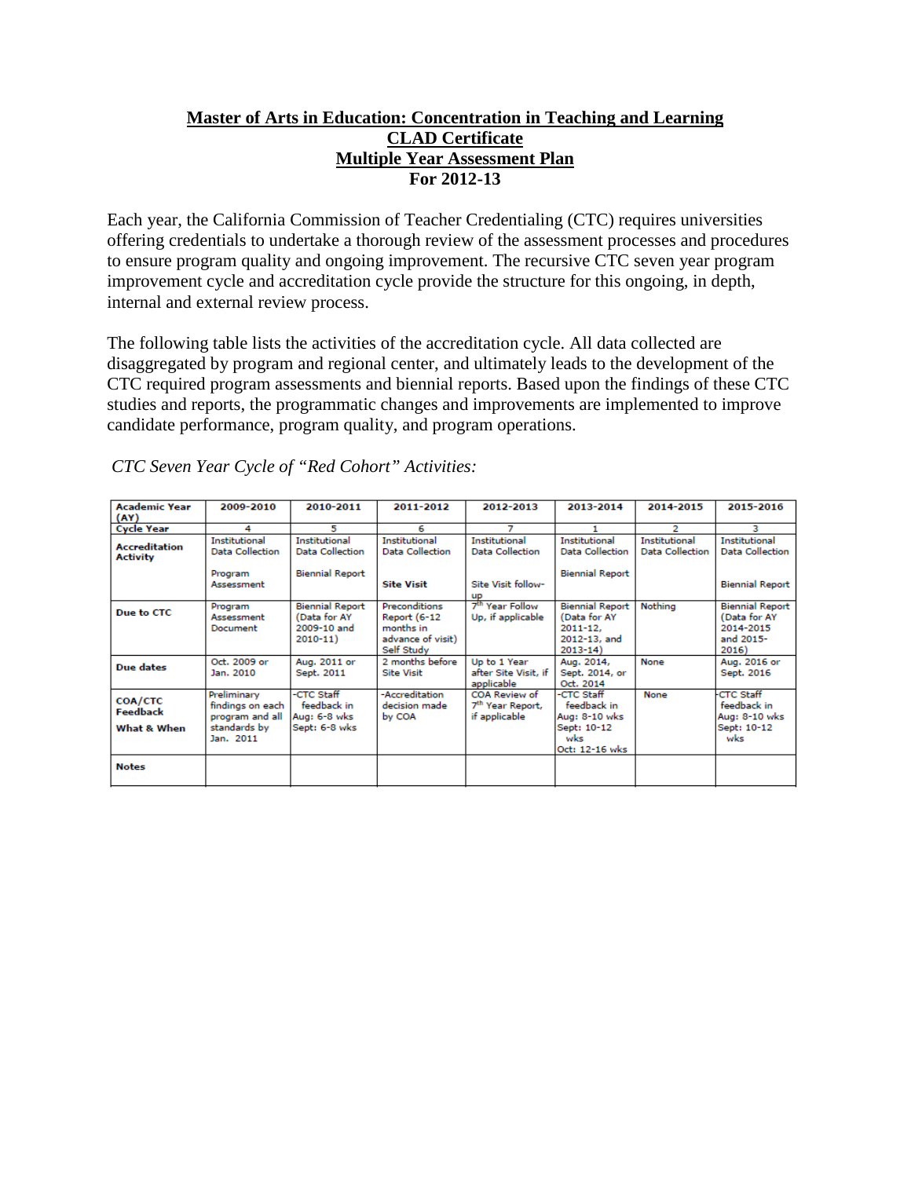# **Master of Arts in Education: Concentration in Teaching and Learning CLAD Certificate Multiple Year Assessment Plan For 2012-13**

Each year, the California Commission of Teacher Credentialing (CTC) requires universities offering credentials to undertake a thorough review of the assessment processes and procedures to ensure program quality and ongoing improvement. The recursive CTC seven year program improvement cycle and accreditation cycle provide the structure for this ongoing, in depth, internal and external review process.

The following table lists the activities of the accreditation cycle. All data collected are disaggregated by program and regional center, and ultimately leads to the development of the CTC required program assessments and biennial reports. Based upon the findings of these CTC studies and reports, the programmatic changes and improvements are implemented to improve candidate performance, program quality, and program operations.

| <b>Academic Year</b><br>(AY)                     | 2009-2010                                                                       | 2010-2011                                                            | 2011-2012                                                                            | 2012-2013                                                                  | 2013-2014                                                                            | 2014-2015                                      | 2015-2016                                                                 |
|--------------------------------------------------|---------------------------------------------------------------------------------|----------------------------------------------------------------------|--------------------------------------------------------------------------------------|----------------------------------------------------------------------------|--------------------------------------------------------------------------------------|------------------------------------------------|---------------------------------------------------------------------------|
| <b>Cycle Year</b>                                | 4                                                                               | 5                                                                    | 6                                                                                    |                                                                            |                                                                                      | 2                                              | з                                                                         |
| <b>Accreditation</b><br><b>Activity</b>          | <b>Institutional</b><br>Data Collection<br>Program<br>Assessment                | Institutional<br><b>Data Collection</b><br><b>Biennial Report</b>    | <b>Institutional</b><br>Data Collection<br><b>Site Visit</b>                         | <b>Institutional</b><br>Data Collection<br>Site Visit follow-<br><b>up</b> | <b>Institutional</b><br>Data Collection<br><b>Biennial Report</b>                    | <b>Institutional</b><br><b>Data Collection</b> | <b>Institutional</b><br><b>Data Collection</b><br><b>Biennial Report</b>  |
| Due to CTC                                       | Program<br>Assessment<br>Document                                               | <b>Biennial Report</b><br>(Data for AY<br>2009-10 and<br>$2010 - 11$ | Preconditions<br><b>Report (6-12</b><br>months in<br>advance of visit)<br>Self Study | 7 <sup>th</sup> Year Follow<br>Up, if applicable                           | <b>Biennial Report</b><br>(Data for AY<br>$2011 - 12$<br>2012-13, and<br>$2013 - 14$ | Nothina                                        | <b>Biennial Report</b><br>(Data for AY<br>2014-2015<br>and 2015-<br>2016) |
| Due dates                                        | Oct. 2009 or<br>Jan. 2010                                                       | Aug. 2011 or<br>Sept. 2011                                           | 2 months before<br><b>Site Visit</b>                                                 | Up to 1 Year<br>after Site Visit, if<br>applicable                         | Aug. 2014,<br>Sept. 2014, or<br>Oct. 2014                                            | None                                           | Aug. 2016 or<br>Sept. 2016                                                |
| <b>COA/CTC</b><br><b>Feedback</b><br>What & When | Preliminary<br>findings on each<br>program and all<br>standards by<br>Jan. 2011 | -CTC Staff<br>feedback in<br>Aug: 6-8 wks<br>Sept: 6-8 wks           | -Accreditation<br>decision made<br>by COA                                            | COA Review of<br>7 <sup>th</sup> Year Report,<br>if applicable             | -CTC Staff<br>feedback in<br>Aug: 8-10 wks<br>Sept: 10-12<br>wks<br>Oct: 12-16 wks   | None                                           | <b>CTC Staff</b><br>feedback in<br>Aug: 8-10 wks<br>Sept: 10-12<br>wks    |
| <b>Notes</b>                                     |                                                                                 |                                                                      |                                                                                      |                                                                            |                                                                                      |                                                |                                                                           |

*CTC Seven Year Cycle of "Red Cohort" Activities:*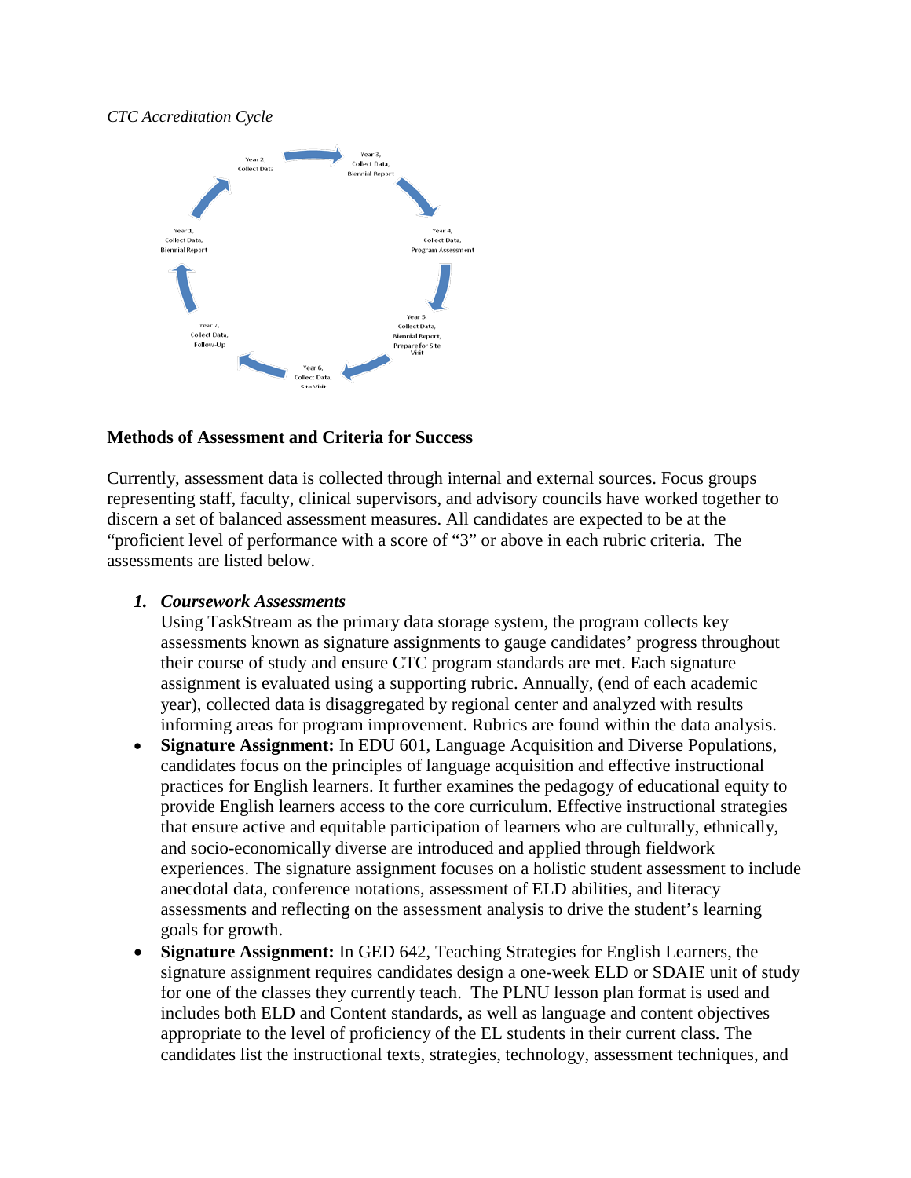#### *CTC Accreditation Cycle*



# **Methods of Assessment and Criteria for Success**

Currently, assessment data is collected through internal and external sources. Focus groups representing staff, faculty, clinical supervisors, and advisory councils have worked together to discern a set of balanced assessment measures. All candidates are expected to be at the "proficient level of performance with a score of "3" or above in each rubric criteria. The assessments are listed below.

## *1. Coursework Assessments*

Using TaskStream as the primary data storage system, the program collects key assessments known as signature assignments to gauge candidates' progress throughout their course of study and ensure CTC program standards are met. Each signature assignment is evaluated using a supporting rubric. Annually, (end of each academic year), collected data is disaggregated by regional center and analyzed with results informing areas for program improvement. Rubrics are found within the data analysis.

- **Signature Assignment:** In EDU 601, Language Acquisition and Diverse Populations, candidates focus on the principles of language acquisition and effective instructional practices for English learners. It further examines the pedagogy of educational equity to provide English learners access to the core curriculum. Effective instructional strategies that ensure active and equitable participation of learners who are culturally, ethnically, and socio-economically diverse are introduced and applied through fieldwork experiences. The signature assignment focuses on a holistic student assessment to include anecdotal data, conference notations, assessment of ELD abilities, and literacy assessments and reflecting on the assessment analysis to drive the student's learning goals for growth.
- **Signature Assignment:** In GED 642, Teaching Strategies for English Learners, the signature assignment requires candidates design a one-week ELD or SDAIE unit of study for one of the classes they currently teach. The PLNU lesson plan format is used and includes both ELD and Content standards, as well as language and content objectives appropriate to the level of proficiency of the EL students in their current class. The candidates list the instructional texts, strategies, technology, assessment techniques, and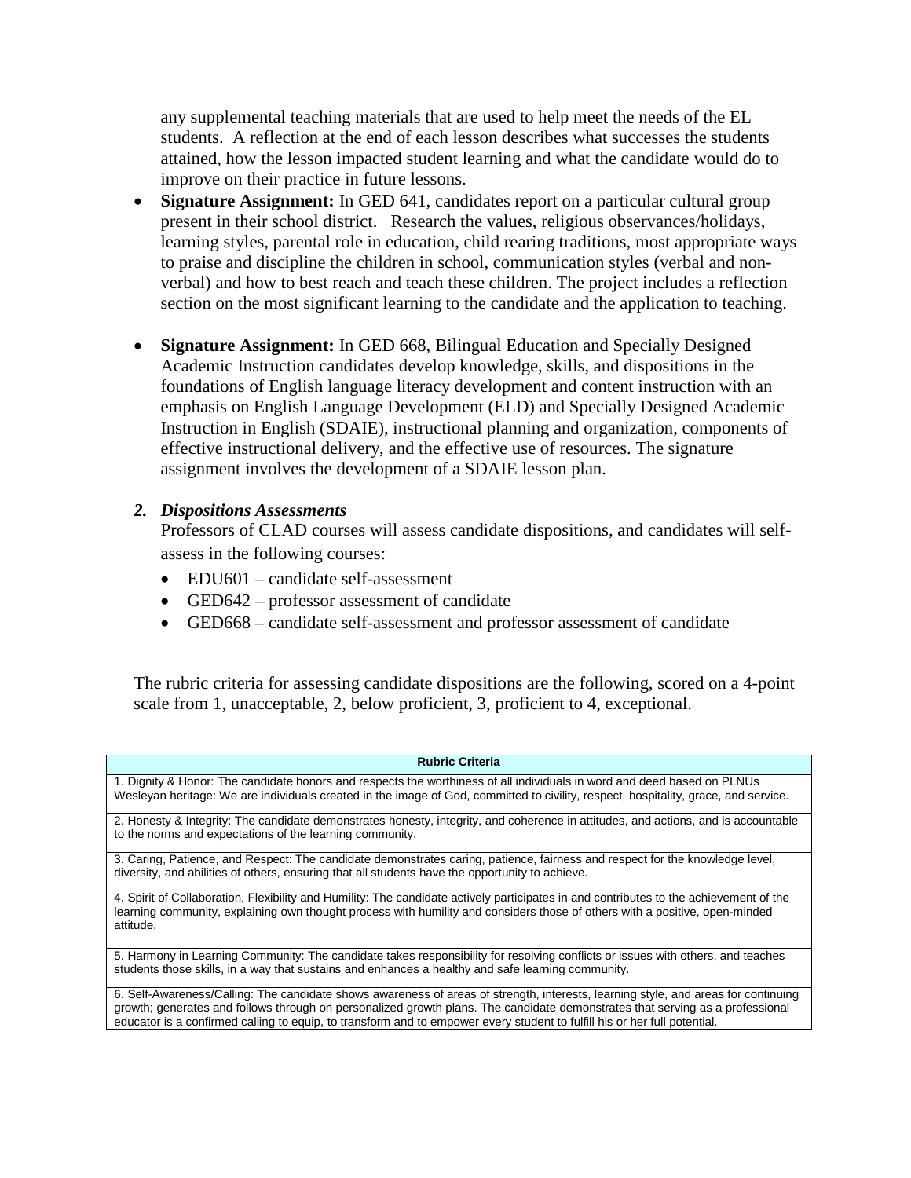any supplemental teaching materials that are used to help meet the needs of the EL students. A reflection at the end of each lesson describes what successes the students attained, how the lesson impacted student learning and what the candidate would do to improve on their practice in future lessons.

- **Signature Assignment:** In GED 641, candidates report on a particular cultural group present in their school district. Research the values, religious observances/holidays, learning styles, parental role in education, child rearing traditions, most appropriate ways to praise and discipline the children in school, communication styles (verbal and nonverbal) and how to best reach and teach these children. The project includes a reflection section on the most significant learning to the candidate and the application to teaching.
- **Signature Assignment:** In GED 668, Bilingual Education and Specially Designed Academic Instruction candidates develop knowledge, skills, and dispositions in the foundations of English language literacy development and content instruction with an emphasis on English Language Development (ELD) and Specially Designed Academic Instruction in English (SDAIE), instructional planning and organization, components of effective instructional delivery, and the effective use of resources. The signature assignment involves the development of a SDAIE lesson plan.

## *2. Dispositions Assessments*

Professors of CLAD courses will assess candidate dispositions, and candidates will selfassess in the following courses:

- EDU601 candidate self-assessment
- GED642 professor assessment of candidate
- GED668 candidate self-assessment and professor assessment of candidate

The rubric criteria for assessing candidate dispositions are the following, scored on a 4-point scale from 1, unacceptable, 2, below proficient, 3, proficient to 4, exceptional.

#### **Rubric Criteria**

1. Dignity & Honor: The candidate honors and respects the worthiness of all individuals in word and deed based on PLNUs Wesleyan heritage: We are individuals created in the image of God, committed to civility, respect, hospitality, grace, and service.

2. Honesty & Integrity: The candidate demonstrates honesty, integrity, and coherence in attitudes, and actions, and is accountable to the norms and expectations of the learning community.

3. Caring, Patience, and Respect: The candidate demonstrates caring, patience, fairness and respect for the knowledge level, diversity, and abilities of others, ensuring that all students have the opportunity to achieve.

4. Spirit of Collaboration, Flexibility and Humility: The candidate actively participates in and contributes to the achievement of the learning community, explaining own thought process with humility and considers those of others with a positive, open-minded attitude.

5. Harmony in Learning Community: The candidate takes responsibility for resolving conflicts or issues with others, and teaches students those skills, in a way that sustains and enhances a healthy and safe learning community.

6. Self-Awareness/Calling: The candidate shows awareness of areas of strength, interests, learning style, and areas for continuing growth; generates and follows through on personalized growth plans. The candidate demonstrates that serving as a professional educator is a confirmed calling to equip, to transform and to empower every student to fulfill his or her full potential.